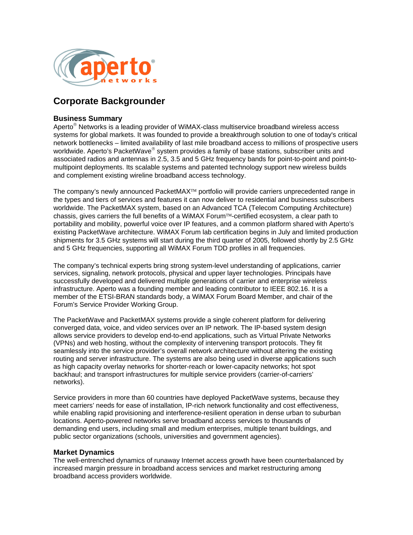

# **Corporate Backgrounder**

## **Business Summary**

Aperto<sup>®</sup> Networks is a leading provider of WiMAX-class multiservice broadband wireless access systems for global markets. It was founded to provide a breakthrough solution to one of today's critical network bottlenecks – limited availability of last mile broadband access to millions of prospective users worldwide. Aperto's PacketWave® system provides a family of base stations, subscriber units and associated radios and antennas in 2.5, 3.5 and 5 GHz frequency bands for point-to-point and point-tomultipoint deployments. Its scalable systems and patented technology support new wireless builds and complement existing wireline broadband access technology.

The company's newly announced PacketMAX™ portfolio will provide carriers unprecedented range in the types and tiers of services and features it can now deliver to residential and business subscribers worldwide. The PacketMAX system, based on an Advanced TCA (Telecom Computing Architecture) chassis, gives carriers the full benefits of a WiMAX Forum™-certified ecosystem, a clear path to portability and mobility, powerful voice over IP features, and a common platform shared with Aperto's existing PacketWave architecture. WiMAX Forum lab certification begins in July and limited production shipments for 3.5 GHz systems will start during the third quarter of 2005, followed shortly by 2.5 GHz and 5 GHz frequencies, supporting all WiMAX Forum TDD profiles in all frequencies.

The company's technical experts bring strong system-level understanding of applications, carrier services, signaling, network protocols, physical and upper layer technologies. Principals have successfully developed and delivered multiple generations of carrier and enterprise wireless infrastructure. Aperto was a founding member and leading contributor to IEEE 802.16. It is a member of the ETSI-BRAN standards body, a WiMAX Forum Board Member, and chair of the Forum's Service Provider Working Group.

The PacketWave and PacketMAX systems provide a single coherent platform for delivering converged data, voice, and video services over an IP network. The IP-based system design allows service providers to develop end-to-end applications, such as Virtual Private Networks (VPNs) and web hosting, without the complexity of intervening transport protocols. They fit seamlessly into the service provider's overall network architecture without altering the existing routing and server infrastructure. The systems are also being used in diverse applications such as high capacity overlay networks for shorter-reach or lower-capacity networks; hot spot backhaul; and transport infrastructures for multiple service providers (carrier-of-carriers' networks).

Service providers in more than 60 countries have deployed PacketWave systems, because they meet carriers' needs for ease of installation, IP-rich network functionality and cost effectiveness, while enabling rapid provisioning and interference-resilient operation in dense urban to suburban locations. Aperto-powered networks serve broadband access services to thousands of demanding end users, including small and medium enterprises, multiple tenant buildings, and public sector organizations (schools, universities and government agencies).

## **Market Dynamics**

The well-entrenched dynamics of runaway Internet access growth have been counterbalanced by increased margin pressure in broadband access services and market restructuring among broadband access providers worldwide.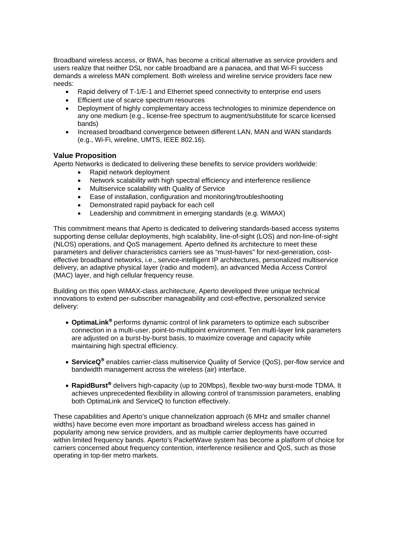Broadband wireless access, or BWA, has become a critical alternative as service providers and users realize that neither DSL nor cable broadband are a panacea, and that Wi-Fi success demands a wireless MAN complement. Both wireless and wireline service providers face new needs:

- Rapid delivery of T-1/E-1 and Ethernet speed connectivity to enterprise end users
- Efficient use of scarce spectrum resources
- Deployment of highly complementary access technologies to minimize dependence on any one medium (e.g., license-free spectrum to augment/substitute for scarce licensed bands)
- Increased broadband convergence between different LAN, MAN and WAN standards (e.g., Wi-Fi, wireline, UMTS, IEEE 802.16).

#### **Value Proposition**

Aperto Networks is dedicated to delivering these benefits to service providers worldwide:

- Rapid network deployment
	- Network scalability with high spectral efficiency and interference resilience
	- Multiservice scalability with Quality of Service
	- Ease of installation, configuration and monitoring/troubleshooting
	- Demonstrated rapid payback for each cell
	- Leadership and commitment in emerging standards (e.g. WiMAX)

This commitment means that Aperto is dedicated to delivering standards-based access systems supporting dense cellular deployments, high scalability, line-of-sight (LOS) and non-line-of-sight (NLOS) operations, and QoS management. Aperto defined its architecture to meet these parameters and deliver characteristics carriers see as "must-haves" for next-generation, costeffective broadband networks, i.e., service-intelligent IP architectures, personalized multiservice delivery, an adaptive physical layer (radio and modem), an advanced Media Access Control (MAC) layer, and high cellular frequency reuse.

Building on this open WiMAX-class architecture, Aperto developed three unique technical innovations to extend per-subscriber manageability and cost-effective, personalized service delivery:

- **OptimaLink**® performs dynamic control of link parameters to optimize each subscriber connection in a multi-user, point-to-multipoint environment. Ten multi-layer link parameters are adjusted on a burst-by-burst basis, to maximize coverage and capacity while maintaining high spectral efficiency.
- **ServiceQ**® enables carrier-class multiservice Quality of Service (QoS), per-flow service and bandwidth management across the wireless (air) interface.
- **RapidBurst**® delivers high-capacity (up to 20Mbps), flexible two-way burst-mode TDMA. It achieves unprecedented flexibility in allowing control of transmission parameters, enabling both OptimaLink and ServiceQ to function effectively.

These capabilities and Aperto's unique channelization approach (6 MHz and smaller channel widths) have become even more important as broadband wireless access has gained in popularity among new service providers, and as multiple carrier deployments have occurred within limited frequency bands. Aperto's PacketWave system has become a platform of choice for carriers concerned about frequency contention, interference resilience and QoS, such as those operating in top-tier metro markets.